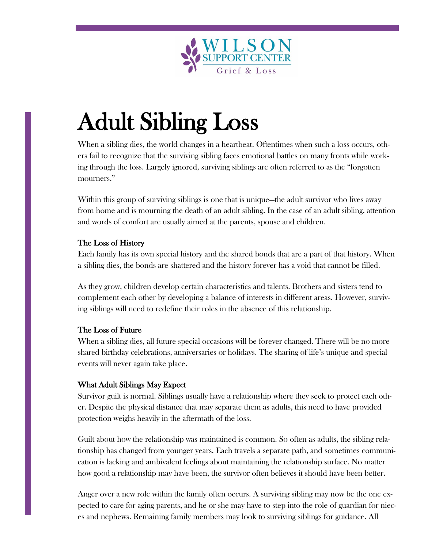

# Adult Sibling Loss

When a sibling dies, the world changes in a heartbeat. Oftentimes when such a loss occurs, others fail to recognize that the surviving sibling faces emotional battles on many fronts while working through the loss. Largely ignored, surviving siblings are often referred to as the "forgotten mourners."

Within this group of surviving siblings is one that is unique—the adult survivor who lives away from home and is mourning the death of an adult sibling. In the case of an adult sibling, attention and words of comfort are usually aimed at the parents, spouse and children.

## The Loss of History

Each family has its own special history and the shared bonds that are a part of that history. When a sibling dies, the bonds are shattered and the history forever has a void that cannot be filled.

As they grow, children develop certain characteristics and talents. Brothers and sisters tend to complement each other by developing a balance of interests in different areas. However, surviving siblings will need to redefine their roles in the absence of this relationship.

## The Loss of Future

When a sibling dies, all future special occasions will be forever changed. There will be no more shared birthday celebrations, anniversaries or holidays. The sharing of life's unique and special events will never again take place.

## What Adult Siblings May Expect

Survivor guilt is normal. Siblings usually have a relationship where they seek to protect each other. Despite the physical distance that may separate them as adults, this need to have provided protection weighs heavily in the aftermath of the loss.

Guilt about how the relationship was maintained is common. So often as adults, the sibling relationship has changed from younger years. Each travels a separate path, and sometimes communication is lacking and ambivalent feelings about maintaining the relationship surface. No matter how good a relationship may have been, the survivor often believes it should have been better.

Anger over a new role within the family often occurs. A surviving sibling may now be the one expected to care for aging parents, and he or she may have to step into the role of guardian for nieces and nephews. Remaining family members may look to surviving siblings for guidance. All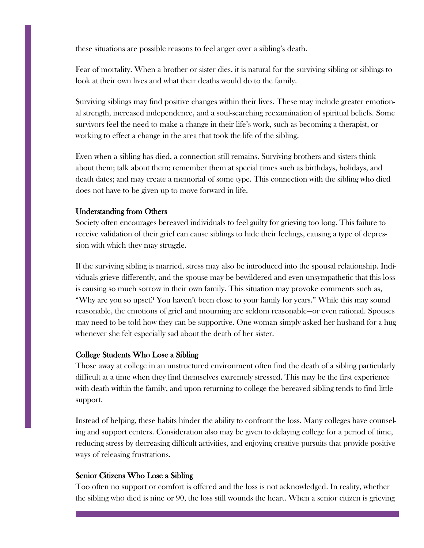these situations are possible reasons to feel anger over a sibling's death.

Fear of mortality. When a brother or sister dies, it is natural for the surviving sibling or siblings to look at their own lives and what their deaths would do to the family.

Surviving siblings may find positive changes within their lives. These may include greater emotional strength, increased independence, and a soul-searching reexamination of spiritual beliefs. Some survivors feel the need to make a change in their life's work, such as becoming a therapist, or working to effect a change in the area that took the life of the sibling.

Even when a sibling has died, a connection still remains. Surviving brothers and sisters think about them; talk about them; remember them at special times such as birthdays, holidays, and death dates; and may create a memorial of some type. This connection with the sibling who died does not have to be given up to move forward in life.

#### Understanding from Others

Society often encourages bereaved individuals to feel guilty for grieving too long. This failure to receive validation of their grief can cause siblings to hide their feelings, causing a type of depression with which they may struggle.

If the surviving sibling is married, stress may also be introduced into the spousal relationship. Individuals grieve differently, and the spouse may be bewildered and even unsympathetic that this loss is causing so much sorrow in their own family. This situation may provoke comments such as, "Why are you so upset? You haven't been close to your family for years." While this may sound reasonable, the emotions of grief and mourning are seldom reasonable—or even rational. Spouses may need to be told how they can be supportive. One woman simply asked her husband for a hug whenever she felt especially sad about the death of her sister.

#### College Students Who Lose a Sibling

Those away at college in an unstructured environment often find the death of a sibling particularly difficult at a time when they find themselves extremely stressed. This may be the first experience with death within the family, and upon returning to college the bereaved sibling tends to find little support.

Instead of helping, these habits hinder the ability to confront the loss. Many colleges have counseling and support centers. Consideration also may be given to delaying college for a period of time, reducing stress by decreasing difficult activities, and enjoying creative pursuits that provide positive ways of releasing frustrations.

#### Senior Citizens Who Lose a Sibling

Too often no support or comfort is offered and the loss is not acknowledged. In reality, whether the sibling who died is nine or 90, the loss still wounds the heart. When a senior citizen is grieving